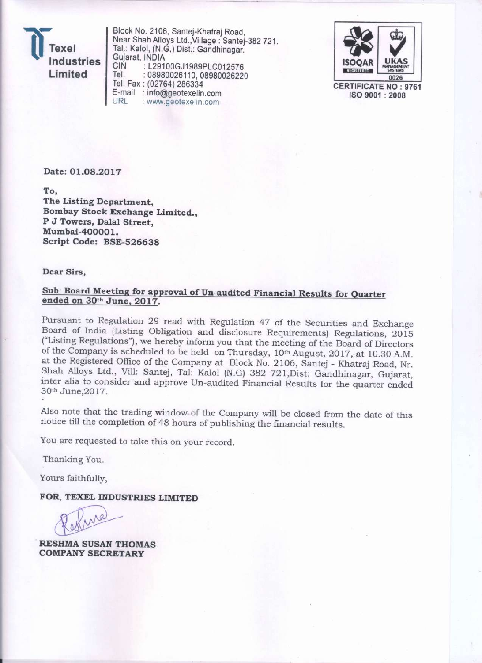exel **Industries** Limited

Block No. 2106, Santej-Khatraj Road, Near Shah Alloys Ltd., Village: Santej-382 721. Tal.: Kalol, (N.G.) Dist.: Gandhinagar. Gujarat, INDIA CIŃ : L29100GJ1989PLC012576 Tel. : 08980026110, 08980026220 Tel. Fax: (02764) 286334 E-mail : info@geotexelin.com URL : www.geotexelin.com



**CERTIFICATE NO: 9761** ISO 9001:2008

Date: 01.08.2017

To. The Listing Department, Bombay Stock Exchange Limited., P J Towers, Dalal Street. Mumbai-400001. Script Code: BSE-526638

Dear Sirs,

### Sub: Board Meeting for approval of Un-audited Financial Results for Quarter ended on 30th June, 2017.

Pursuant to Regulation 29 read with Regulation 47 of the Securities and Exchange Board of India (Listing Obligation and disclosure Requirements) Regulations, 2015 ("Listing Regulations"), we hereby inform you that the meeting of the Board of Directors of the Company is scheduled to be held on Thursday, 10<sup>th</sup> August, 2017, at 10.30 A.M. at the Registered Office of the Company at Block No. 2106, Santej - Khatraj Road, Nr. Shah Alloys Ltd., Vill: Santej, Tal: Kalol (N.G) 382 721, Dist: Gandhinagar, Gujarat, inter alia to consider and approve Un-audited Financial Results for the quarter ended 30th June, 2017.

Also note that the trading window of the Company will be closed from the date of this notice till the completion of 48 hours of publishing the financial results.

You are requested to take this on your record.

Thanking You.

Yours faithfully,

FOR, TEXEL INDUSTRIES LIMITED

**RESHMA SUSAN THOMAS COMPANY SECRETARY**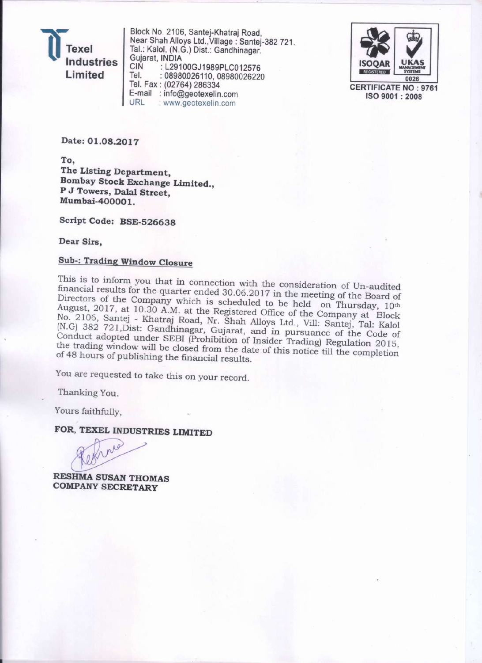exel Industries Limited

Block No. 2106, Santej-Khatraj Road, Near Shah Alloys Ltd., Village: Santei-382 721. Tal.: Kalol, (N.G.) Dist.: Gandhinagar. Gujarat, INDIA : L29100GJ1989PLC012576 **CIN** Tel. : 08980026110, 08980026220 Tel. Fax: (02764) 286334 E-mail : info@geotexelin.com URL : www.geotexelin.com



**CERTIFICATE NO: 9761** ISO 9001: 2008

Date: 01.08.2017

To, The Listing Department, Bombay Stock Exchange Limited., P J Towers, Dalal Street. Mumbai-400001.

Script Code: BSE-526638

Dear Sirs,

### **Sub-: Trading Window Closure**

This is to inform you that in connection with the consideration of Un-audited financial results for the quarter ended 30.06.2017 in the meeting of the Board of Directors of the Company which is scheduled to be held on Thursday, 10th August, 2017, at 10.30 A.M. at the Registered Office of the Company at Block No. 2106, Santej - Khatraj Road, Nr. Shah Alloys Ltd., Vill: Santej, Tal: Kalol (N.G) 382 721, Dist: Gandhinagar, Gujarat, and in pursuance of the Code of Conduct adopted under SEBI (Prohibition of Insider Trading) Regulation 2015, the trading window will be closed from the date of this notice till the completion of 48 hours of publishing the financial results.

You are requested to take this on your record.

Thanking You.

Yours faithfully,

## FOR, TEXEL INDUSTRIES LIMITED

**RESHMA SUSAN THOMAS COMPANY SECRETARY**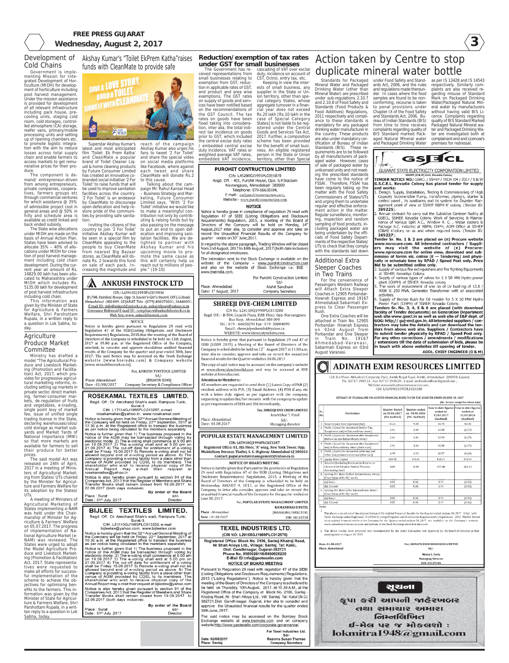



## **FREE PRESS GUJARAT** Wednesday, August 2, 2017

Additional Extra Sleeper Coaches

in Two Trains

For the convenience of Passengers Western Railway will Attach Extra Sleeper Coaches in 12905 Porbandar-Howrah Express and 19167 Ahmedabad-Sabarmati Express to Clear Passenger Rush.

One Extra Coaches will be attached in Train No. 12905 Porbandar- Howrah Express on 02nd August from Porbandar and One Sleeper in Train No. 19167 Ahmedabad-Varanasi, Sabarmati Express on 03rd August Varanasi.

Akshay Kumar's "Toilet EkPrem Katha"raises funds with CleanMate to provide safe



creasing the magnitude and ple." (19-10) **ANKUSH FINSTOCK LTD** 

Superstar Akshay Kumar's latest and most anticipated film 'Toilet: Ek Prem Katha' and CleanMate a popular brand of Toilet Cleaner Liquid & home cleaning products by Future Consumer Limited

## CIN.: L65910GJ1993PLC019936

B\708, Fairdeal House, Opp. St.Xavier's Girl's Hostel, Off C.G.Road, Ahmedabad -380 009. GUJARAT. Tele.: (079) 400370031, 26440031 E mail ID.: info@ankushfinstock.co.in. ankushfina4@yahoo.co.in Grievance Ridressal E mail ID : compliance@ankushfinstock.co.in Web Site.:www.ankushfinstock.co.in

#### **NOTICE**

Notice is hereby given pursuant to Regulation 29 read with Regulation 47 of the SEBI(Listing Obligations and Disclosure Requirements) Regulations, 2015, that the meeting of the Board of Directors of the Company is scheduled to be held on 11th August, 2017 at 05.00 p.m. at the Registered Office of the Company, interlaid, to consider and approve standalone audited financial results of the Company for the quarter and year ended 30th, June 2017. The said Notice may be accessed on the Stock Exchange website [www.bseindia.com] & Company website [www.ankushfinstock.co.in].

### For, ANKUSH FINSTOCK LIMITED -Sd/

[BHAVIN SONI] Place: Ahmedabad

has created an innovative cobranded social initiative '2 For Toilet' to raise funds that will be used to improve sanitation facilities across the country. '2 For Toilet' is an endeavor by CleanMate to discourage open defecation and help restore pride of the communities by providing safe sanitation.

**AN** 

Government is implementing Mission for Integrated Development of Horticulture (MIDH) for development of horticulture including post harvest management. Under the mission assistance is provided for development of all relevant infrastructure including pack house, precooling units, staging cold room, cold storages, controlled atmosphere (CA) storage, reefer vans, primary/mobile processing units and setting up of ripening chambers etc. to promote logistic integration with the aim to reduce losses across total supply chain and enable farmers to access markets to get remunerative prices for their produce

reach of the campaign Akshay Kumar also urges his fans to tweet '2 For Toilet' and share the special video on social media platforms like Facebook, where against each tweet and share CleanMate will donate Rs.2

Inviting the citizens of the country to join '2 For Toilet' initiative Akshay Kumar will be seen in a special film by CleanMate appealing to the people to buy CleanMate from nearest Big Bazaar stores, as CleanMate will donate Rs. 2 towards this fund on sale of each pack. Inuting & raising funds but by also passing on the message to put an end to open defecation and improving sanitation facilities. We are delighted to partner with Akshay Kumar and his upcoming movie to promote the same cause as this will certainly help us reach out to millions of peo-

to this cause.

Talking about the campaign Mr. Rahul Kansal Head – Business Strategy and Marketing, Future Consumer Limited says, "With '2 For Toilet' initiative we would like to make a meaningful contribution not only by contrib-

## **Agriculture** Produce Market Committee

## Development of Cold Chains

The component is demand/ entrepreneur-driven from among entrepreneurs, private companies, cooperatives, farmers groups etc through commercial ventures for which assistance @ 35% of admissible project cost in general areas and @ 50% in hilly and schedule area is available as credit linked and back ended subsidy.

The State wise allocations under MIDH are made on the basis of Annual Action Plan. States have been advised to allocate 35% – 40% of allocations under MIDH for creation of post harvest management including cold chain development. During the current year an amount of Rs. 14829.00 lakh has been allocated to Maharashtra under MIDH which includes Rs. 5135.00 lakh for development of post harvest infrastructure including cold chain.

This information was given by the Minister of State for Agriculture & Farmers Welfare, Shri Parshottam Rupala, in a written reply to a question in Lok Sabha, today.

Ministry has drafted a model "The Agricultural Produce and Livestock Marketing (Promotion and Facilitation) Act, 2017, which provides for progressive agricultural marketing reforms, in-

cluding setting up markets in private sector, direct marketing, farmer-consumer markets, de-regulation of fruits and vegetables, e-trading, single point levy of market fee, issue of unified single trading license in the State, declaring warehouses/silos/ cold storage as market subyards and Market Yards of National Importance (MNI) so that more markets are available for farmers to sell their produce for better prices.

Standards for Packaged under Food Safety and Stand- as per IS 13428 and IS 14543 ards Act, 2006, and the rules and regulations made thereunder. In cases where the food samples are found to be nonconforming, recourse is taken to penal provisions under Chapter IX of the Food Safety and Standards Act, 2006. Bureau of Indian Standards (BIS) from time to time receives complaints regarding quality of BIS Standard marked Packaged Natural Mineral water and Packaged Drinking Water premises for redressal.

The said model Act was released on 24th of April, 2017 in a meeting of Ministers of Agricultural Marketing from States/ UTs chaired by the Minister for Agriculture and Farmers Welfare for its adoption by the States/ UTs.

A meeting of Ministers of Agricultural Marketing of States implementing e-NAM was held under the Chairmanship of Minister for Agriculture & Farmers' Welfare on 05.07.2017. The progress of implementation of National Agriculture Market (e-NAM) was reviewed. The States were urged to adopt the Model Agriculture Produce and Livestock Marketing (Promotion & Facilitation) Act, 2017. State representatives were requested to make all efforts for successful implementation of the scheme to achieve the objectives for optimising benefits to the farmers. This information was given by the Minister of State for Agriculture & Farmers Welfare, Shri Parshottam Rupala, in a written reply to a question in Lok Sabha, today.



Il members are requested to send their (1) Latest Copy of PAN (2) resident address with PIN, (3) Email Address, (4) POA if any, etc with a letter duly signed as per signature with the company, requesting to update his/her records with the company to update as per requirements of SEBI and BSE immediately,

> For, SHREEJI DYE CHEM LIMITED Amritbhai T. Patel

> > $Sd/$

Managing director

Place: Ahmedabad

Date: 01.08.2017

### POPULAR ESTATE MANAGEMENT LIMITED

CIN: L65910GJ1994PLC023287 Registered Office: 81, 8th Floor, "A" wing, New York Tower, Opp. Muktidham Derasar, Thaltej, S. G. Highway Ahmedabad GJ 380054 Contact: popularestatemanagement@yahoo.co.in

#### NOTICE OF BOARD MEETING

Notice is hereby given that Pursuant to the provisions of Regulation 29 read with Regulation 47 of the SEBI (Listing Obligations and Disclosure Requirements) Regulations, 2015, a Meeting of the Board of Directors of the Company is scheduled to be held on Wednesday, AUGUST 9, 2017, at the Registered Office of the Company, to inter alia consider, approve and take on record the unaudited financial results of the Company for the quarter ended on June 30, 2017.

For, POPULAR ESTATE MANAGEMENT LIMITED

**RAMANBHAI B PATEL** (MANAGING DIRECTOR)

Date: 01.08.2017

## **TEXEL INDUSTRIES LTD.**

(CIN NO: L29100GJ1989PLC012576)

Registered Office: Block No. 2106, Santej-Khatraj Road, Nr Shah Alloys Ltd., Village: Santej, Tal: Kalol, Dist: Gandhinagar, Gujarat-382721 Phone No. 8980026110/8980026220 E-Mail ID:info@geotexelin.com **NOTICE OF BOARD MEETING** 

Pursuant to Regulation 29 read with regulation 47 of the SEBI (Listing Obligations and Disclosure Requirements) Regulations, 2015 ("Listing Regulations"), Notice is hereby given that the meeting of the Board of Directors of the Company is scheduled to be held on Thursday, 10th August, 2017, at 10.30 A.M., at the Registered Office of the Company at Block No. 2106, Santej -Khatraj Road, Nr. Shah Alloys Ltd., Vill: Santej, Tal: Kalol (N.G) 382721, Dist: Gandhinagar, Gujarat, inter alia to consider and approve the Unaudited financial results for the quarter ended 30th June, 2017.

The said notice may be accessed on the Bombay Stock Exchange website at www.bseindia.com and on company website http://www.geotexelin.com/corporate-governance/

> For Texel Industries Ltd. Sd/-Reshma Susan Thomas **Company Secretary**

#### isite:www.adinatheximresources.com CIN: L51909GJ1995PLC024300

#### EXTRACT OF STANDALONE UN-AUDITED FINANCIAL RESULTS FOR THE QUARTER ENDED ON JUNE 30, 2017

|         |                                                                                                         |                                                       |                                                | (Rs. In Lacs except Per share data) |                                                                                  |  |
|---------|---------------------------------------------------------------------------------------------------------|-------------------------------------------------------|------------------------------------------------|-------------------------------------|----------------------------------------------------------------------------------|--|
| г.<br>o | <b>Particulars</b>                                                                                      | <b>Quarter Ended</b><br>on 30.06.2017<br>(Un-Audited) | Quarter ended<br>on 30.06.2016<br>(Un-Audited) | ended on<br>31.03.2017<br>(Audited) | Year to date figures Year to date figures<br>ended on<br>31.03.2016<br>(Audited) |  |
|         | Total Income from Operation(Net)                                                                        | 13.31                                                 | 9.44                                           | 55.76                               | 60.35                                                                            |  |
|         | Profit / (Loss) for the period (before Tax,<br>Exceptional and/or Extraordinary items]                  | 2.41                                                  | 3.06                                           | 32.00                               | (6.27)                                                                           |  |
|         | 3 Profit / (Loss) for the period after Exceptional<br>(before tax and Extraordinary items).             | 2.41                                                  | 3.06                                           | 32.00                               | (6.27)                                                                           |  |
|         | Profit / (Loss) for the period after Exceptional<br>and/or Extraordinary items (hefore tax)             | 2.41                                                  | 3.06                                           | 32.00                               | (6.27)                                                                           |  |
|         | Profit / (Loss) for the period (after tax) and<br>Other Comprehensive Income (after tax)]               | 1.95                                                  | 2.53                                           | 30.57                               | (6.24)                                                                           |  |
|         | <b>Equity Share Capital</b>                                                                             | 410.41                                                | 410.41                                         | 410.41                              | 410.41                                                                           |  |
|         | Reserve (Excluding Revaluation Reserve as<br>shown in the balance sheet of Previous<br>Accounting Year) | 0.00                                                  | 0.00                                           | 297.08                              | 266.51                                                                           |  |
|         | Earning Per Share (before Extraordinary Items)<br>(Face Value of Rs.10/-each)                           |                                                       |                                                |                                     |                                                                                  |  |
|         | (a) Basic:                                                                                              | 0.05                                                  | 0.06                                           | 0.74                                | (0.15)                                                                           |  |
|         | (b) Diluted:                                                                                            | 0.05                                                  | 0.06                                           | 0.74                                | (0.15)                                                                           |  |
|         | Earning Per Share (after Extraordinary Items)<br>(Face Value of Rs.10/-each)                            |                                                       |                                                |                                     |                                                                                  |  |
|         | (a) Basic:                                                                                              | 0.05                                                  | 0.06                                           | 0.74                                | (0.15)                                                                           |  |
|         | (b) Diluted:                                                                                            | 0.05                                                  | 0.06                                           | 0.74                                | (0.15)                                                                           |  |

Date:

Place

DIN: 00118530

The above is an extract of the detailed format of Un-Audited Financial Results for the Quarter ended on June 30, 2017 filled with Stock Exchange under Regulation 33 of SEBI (Listing Obligation and Disclosures Requiremenrts) Regulations, 2015. The full format of un-audited financial results of the Company for the Quarter ended on June 30, 2017 are available on the Company's website www.adinatheximresources.com and website of the Stock Exchange www.bseindia.com

2 The above results were reviewed and recommended by the Audit Committee and approved by the Board of Directors at their neeting held on August 01, 2017.

| 01.08.2017  | For, ADINATH EXIM RESOURCES LIMITED |
|-------------|-------------------------------------|
| : Ahmedabad |                                     |
|             | $Sd$ /-                             |
|             | Manoj S. Savla                      |
|             | <b>Managing Director</b>            |
|             | DIN: 01529306                       |
|             |                                     |
|             |                                     |



Date: 02/08/2017 Place: Santej

## **Reduction/exemption of tax rates under GST for small businesses**

The Government has re-cascading of VAT over excise small businesses relating to exemption from GST, reduction in applicable rates of GST, and product and area wise exemptions. The GST rates on supply of goods and services have been notified based on the recommendations of the GST Council. The tax rates on goods have been fixed taking into consideration, inter alia, the total indirect tax incidence on goods prior to GST, which included the central excise duty rates embedded central excise duty incidence, VAT rates or weighted average VAT rates, embedded VAT incidence,

ceived representations from duty, incidence on account of CST, Octroi, entry tax, etc. Keeping in view the interests of small business, any supplier in the State or Union territory, other than special category States, whose aggregate turnover in a financial year does not exceed Rs.20 lakh [Rs.10 lakh in the case of Special Category States] is not liable to be registered under the Central Goods and Services Tax Act, 2017. Further, a composition scheme has been provided

for the benefit of small business. An eligible registered person in the State or Union territory, other than Special

### **PUROHIT CONTRUCTION LIMITED**

CIN: L45200GJ1991PLC015878 Regd. Off.: 401, Purohit House, Opp. S.P.Stadium Navrangpura, Ahmedabad- 380009 Telephone: 079-66620104, E-mail:- cs@purohitconstruction.com, Website:- www.purohitconstruction.com

#### **NOTICE**

Notice is hereby given in compliance of regulation 29 read with Regulation 47 of SEBI (Listing Obligations and Disclosure Requirements) Regulation, 2015, a meeting of the Board of Directors of the Company will be held on Monday, 14<sup>t</sup> August, 2017 inter alia, to consider and approve and take on record the Unaudited Financial Results of the Company for quarter ended on 30<sup>th</sup> June, 2017.

In regard to the above paragraph, Trading Window will be closed from 2nd August, 2017 to 16th August, 2017 (both date inclusive) for all designated employees.

The intimation sent to the Stock Exchange is available on the website of the Company - www.purohitconstruction.com and also on the website of Stock Exchange i.e. BSE www.bseindia.com

For Purohit Construction Limited

Company Secretary

Place: Ahmedabad Date: 1<sup>st</sup> August, 2017

## **SHREEJI DYE-CHEM LIMITED**

CIN No. L24110G[1990PLC013288 Regd. Off.:- B-504, Ganesh Plaza, Fifth Floor, Opp. Navrangpura Bus Stop, Ahmedabad 380 009. Tel.: 079 - 66058291 Fax: 079-30004099 Email: shreejidyechemltd@yahoo.in WEBSITE: www.shreejidyechem.com.

Notice is hereby given that pursuant to Regulation 29 and 47 o SEBI (LODR 2015) a Meeting of the Board of Directors of the Company is scheduled to be held on  $12^{\kappa_c}$  August 2017 at 11.00 a.m inter alia to consider, approve and take on record the unaudited financial results for the Quarter ended on 30.06.2017.

The copy of said notice may be accessed on the company's website at www.shreejidyechemltd.com and may be accessed at BSE website at bseindia.com.

**Attention to Members:-**

Action taken by Centre to stop duplicate mineral water bottle

Mineral Water and Packaged Drinking Water (other than Mineral Water) are prescribed under sub-regulations 2.10.7 and 2.10.8 of Food Safety and Standards (Food Products & Food Additives) Regulations, 2011 respectively and compliance to these standards is mandatory for any packaged drinking water manufacturer in the country. These products are also under mandatory certification of Bureau of Indian Standards (BIS). These requirements are to be followed by all manufacturers of packaged water. However, cases of sale of packaged water by unlicensed units and not meeting the prescribed standards have come to the notice of FSSAI. Therefore, FSSAI has been regularly taking up the matter with the Food Safety Commissioners of States/UTs and urging them to undertake regular and effective enforcement action in the matter. Regular surveillance, monitoring, inspection and random sampling of food products, including packaged water are being undertaken by the officials of Food Safety Departments of the respective States/ UTs to check that they comply with the standards laid down

respectively. Similarly complaints are also received regarding misuse of Standard Mark on Packaged Drinking Water/Packaged Natural Mineral water by manufacturers without having valid BIS Licence. Complaints regarding quality of BIS Standard Marked Packaged Natural Mineral water and Packaged Drinking Water are investigated both at complainant-end and Licencee's



G.S.C.E.L. Kevadia Colony has placed tender for supply and works:

Design. Supply, Installation, Testing & Commissioning of High Capacity Submersible Pump, transformer, piping's, starter & control panel, its auxiliaries and its system for Disaster Man agement point of view at SSHEP RBPH K' colony. (Tender ID: 269225)

Annual contract for carry out the Subsidize Canteen facility at GSECL, SSHEP, Kevadia Colony. Work of Servicing & Maintenance of Various Split A.C., Window A. C., Water coolers 8 Package A.C. installed at RBPH, CHPH, ADM Office at SSHEP (O&M) k'colony on as and when required basis. (Tender ID 269227).

Fender Sr. No. 1 & 2 are placed on (n) Procure website www.norocure.com. All interested contractors / Suppliers may visit the website of (n) Procure: www.nprocure.com for online view, download and submission of forms viz. online (E — Tendering) and physi-<br>cally in schedule time by RPAD / Speed Post only. Price Bid to be submitted online only.

3. Supply of various fire extinguishers and fire fighting Equipments at SSHEP, Kevadiya Colony.

. Supply of various types of valves for 5 X 50 MW Hydro power plant (CHPH) of SSHEP, Kevadia colony

The work of replacement of one no of LV bushing of 13.8 400K V, 250 MVA, Generator Transformer with all associated activities.

Supply of Bronze Bush for Oil Header for 5 X 50 MW Hydro Power Plant (CHPH) of SSHEP, Kevadia Colony.

Tenders Sr. No. 3, 4, 5 & 6 are placed (with download facility of Tender documents) on Generation Department web site www.gsecl.in as well as web site of E&P dept. of GOG: http;// guj-end.gov.in. All interested suppliers / contractors may take the details and can download the tenders from above web site. Suppliers / Contractors have to submit tender physically by RPAD / Speed Post only. For any other corrections / amendments / modifications / extensions till the date of submission of bids, please be in touch with above websites till opening of tender.

ADDL. CHIEF ENGINEER (O & M)

# **ADINATH EXIM RESOURCES LIMITED**

12A 3rd Floor, Abhishree Corporate Park, Ambli Bopal Road, Ambli, Ahmedabad- 380058, Gujarat Ph.: 02717-298510 : Fax: 02717-298520 : E-mail: aerlnodalofficer@gmail.com :

Sd/· Nishit Sandhani